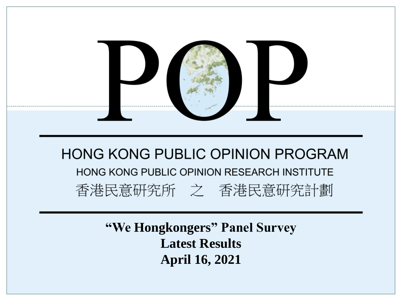

**"We Hongkongers" Panel Survey Latest Results April 16, 2021**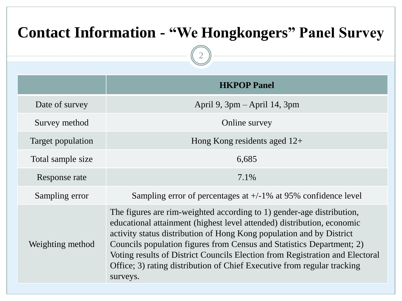| <b>Contact Information - "We Hongkongers" Panel Survey</b> |                                                                                                                                                                                                                                                                                                                                                                                                                                                                         |  |  |  |  |
|------------------------------------------------------------|-------------------------------------------------------------------------------------------------------------------------------------------------------------------------------------------------------------------------------------------------------------------------------------------------------------------------------------------------------------------------------------------------------------------------------------------------------------------------|--|--|--|--|
|                                                            |                                                                                                                                                                                                                                                                                                                                                                                                                                                                         |  |  |  |  |
|                                                            | <b>HKPOP Panel</b>                                                                                                                                                                                                                                                                                                                                                                                                                                                      |  |  |  |  |
| Date of survey                                             | April 9, $3pm -$ April 14, $3pm$                                                                                                                                                                                                                                                                                                                                                                                                                                        |  |  |  |  |
| Survey method                                              | Online survey                                                                                                                                                                                                                                                                                                                                                                                                                                                           |  |  |  |  |
| Target population                                          | Hong Kong residents aged $12+$                                                                                                                                                                                                                                                                                                                                                                                                                                          |  |  |  |  |
| Total sample size                                          | 6,685                                                                                                                                                                                                                                                                                                                                                                                                                                                                   |  |  |  |  |
| Response rate                                              | 7.1%                                                                                                                                                                                                                                                                                                                                                                                                                                                                    |  |  |  |  |
| Sampling error                                             | Sampling error of percentages at $+/-1\%$ at 95% confidence level                                                                                                                                                                                                                                                                                                                                                                                                       |  |  |  |  |
| Weighting method                                           | The figures are rim-weighted according to 1) gender-age distribution,<br>educational attainment (highest level attended) distribution, economic<br>activity status distribution of Hong Kong population and by District<br>Councils population figures from Census and Statistics Department; 2)<br>Voting results of District Councils Election from Registration and Electoral<br>Office; 3) rating distribution of Chief Executive from regular tracking<br>surveys. |  |  |  |  |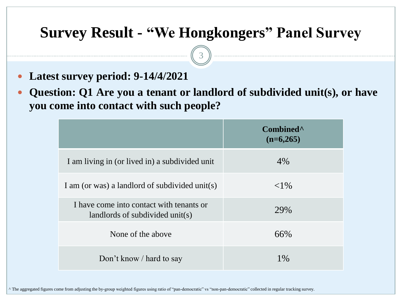3

- **Latest survey period: 9-14/4/2021**
- **Question: Q1 Are you a tenant or landlord of subdivided unit(s), or have you come into contact with such people?**

|                                                                             | Combined <sup>^</sup><br>$(n=6,265)$ |
|-----------------------------------------------------------------------------|--------------------------------------|
| I am living in (or lived in) a subdivided unit                              | 4%                                   |
| I am (or was) a landlord of subdivided unit(s)                              | ${<}1\%$                             |
| I have come into contact with tenants or<br>landlords of subdivided unit(s) | 29%                                  |
| None of the above                                                           | 66%                                  |
| Don't know / hard to say                                                    | $1\%$                                |

^ The aggregated figures come from adjusting the by-group weighted figures using ratio of "pan-democratic" vs "non-pan-democratic" collected in regular tracking survey.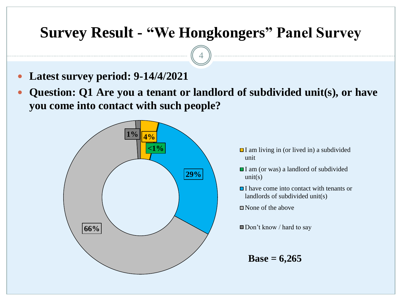4

- **Latest survey period: 9-14/4/2021**
- **Question: Q1 Are you a tenant or landlord of subdivided unit(s), or have you come into contact with such people?**



- $\Box$  I am living in (or lived in) a subdivided unit
- I am (or was) a landlord of subdivided  $unit(s)$
- **□I** have come into contact with tenants or landlords of subdivided unit(s)
- None of the above
- $\Box$  Don't know / hard to say

**Base = 6,265**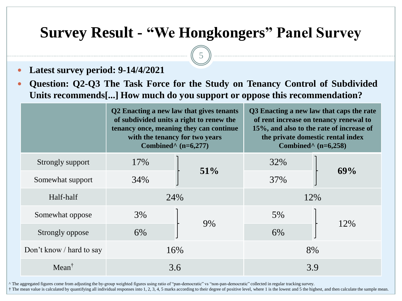5

- **Latest survey period: 9-14/4/2021**
- **Question: Q2-Q3 The Task Force for the Study on Tenancy Control of Subdivided Units recommends[...] How much do you support or oppose this recommendation?**

|                          | Q2 Enacting a new law that gives tenants<br>of subdivided units a right to renew the<br>tenancy once, meaning they can continue<br>with the tenancy for two years<br>Combined <sup><math>\land</math></sup> (n=6,277) |        | Q3 Enacting a new law that caps the rate<br>of rent increase on tenancy renewal to<br>15%, and also to the rate of increase of<br>the private domestic rental index<br>Combined <sup><math>\land</math></sup> (n=6,258) |     |
|--------------------------|-----------------------------------------------------------------------------------------------------------------------------------------------------------------------------------------------------------------------|--------|-------------------------------------------------------------------------------------------------------------------------------------------------------------------------------------------------------------------------|-----|
| Strongly support         | 17%                                                                                                                                                                                                                   | $51\%$ | 32%                                                                                                                                                                                                                     | 69% |
| Somewhat support         | 34%                                                                                                                                                                                                                   |        | 37%                                                                                                                                                                                                                     |     |
| Half-half                | 24%                                                                                                                                                                                                                   |        | 12%                                                                                                                                                                                                                     |     |
| Somewhat oppose          | 3%                                                                                                                                                                                                                    | 9%     | 5%                                                                                                                                                                                                                      | 12% |
| Strongly oppose          | 6%                                                                                                                                                                                                                    |        | 6%                                                                                                                                                                                                                      |     |
| Don't know / hard to say | 16%                                                                                                                                                                                                                   |        | 8%                                                                                                                                                                                                                      |     |
| $Mean^{\dagger}$         | 3.6                                                                                                                                                                                                                   |        | 3.9                                                                                                                                                                                                                     |     |

^ The aggregated figures come from adjusting the by-group weighted figures using ratio of "pan-democratic" vs "non-pan-democratic" collected in regular tracking survey.

† The mean value is calculated by quantifying all individual responses into 1, 2, 3, 4, 5 marks according to their degree of positive level, where 1 is the lowest and 5 the highest, and then calculate the sample mean.